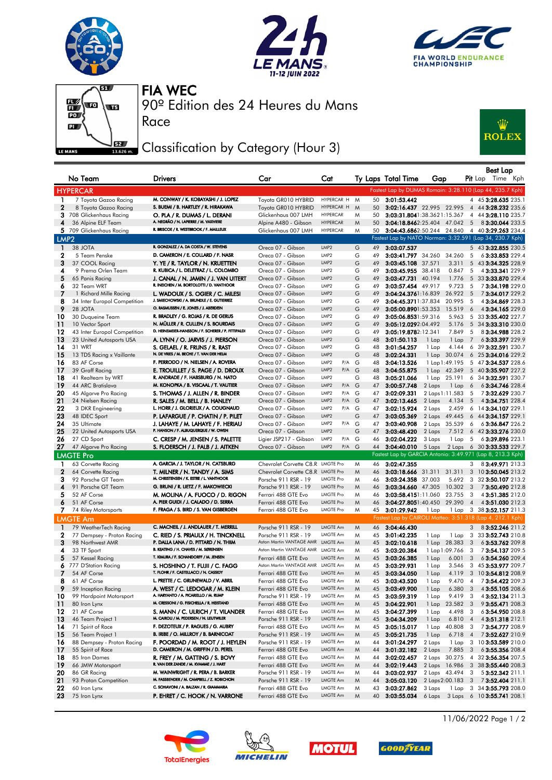







Race

90º Edition des 24 Heures du Mans FIA WEC

## Classification by Category (Hour 3)



|                  | No Team                      | Drivers                                                                          | Car                                                       | Cat                         |   |    | Ty Laps Total Time  | Gap                                  |                         | Best Lap<br><b>Pit</b> Lap<br>Time Kph                        |
|------------------|------------------------------|----------------------------------------------------------------------------------|-----------------------------------------------------------|-----------------------------|---|----|---------------------|--------------------------------------|-------------------------|---------------------------------------------------------------|
|                  | <b>HYPERCAR</b>              |                                                                                  |                                                           |                             |   |    |                     |                                      |                         | Fastest Lap by DUMAS Romain: 3:28.110 (Lap 44, 235.7 Kph)     |
| 1                | 7 Toyota Gazoo Racing        | M. CONWAY / K. KOBAYASHI / J. LOPEZ                                              | Toyota GR010 HYBRID                                       | HYPERCAR H                  | M | 50 | 3:01:53.442         |                                      |                         | 4 45 3:28.635 235.1                                           |
| $\mathbf{2}$     | 8 Toyota Gazoo Racing        | S. BUEMI / B. HARTLEY / R. HIRAKAWA                                              | Toyota GR010 HYBRID                                       | HYPERCAR H                  | M | 50 |                     | 3:02:16.437 22.995 22.995            |                         | 4 44 3:28.232 235.6                                           |
|                  | 3 708 Glickenhaus Racing     | O. PLA / R. DUMAS / L. DERANI                                                    | Glickenhaus 007 LMH                                       | <b>HYPERCAR</b>             | M | 50 |                     | 3:03:31.8041:38.3621:15.367          |                         | 4 44 3:28.110 235.7                                           |
| 4                | 36 Alpine ELF Team           | A. NEGRÃO / N. LAPIERRE / M. VAXIVIERE                                           | Alpine A480 - Gibson                                      | <b>HYPERCAR</b>             | M | 50 |                     | <b>3:04:18.846</b> 2:25.404 47.042 5 |                         | 83:30.044 233.5                                               |
|                  | 5 709 Glickenhaus Racing     | R. BRISCOE / R. WESTBROOK / F. MAILLEUX                                          | Glickenhaus 007 LMH                                       | <b>HYPERCAR</b>             | M | 50 |                     |                                      |                         | <b>3:04:43.686</b> 2:50.244 24.840 4 40 <b>3:29.263</b> 234.4 |
| LMP <sub>2</sub> |                              |                                                                                  |                                                           |                             |   |    |                     |                                      |                         | Fastest Lap by NATO Norman: 3:32.591 (Lap 34, 230.7 Kph)      |
|                  |                              | R. GONZALEZ / A. DA COSTA / W. STEVENS                                           |                                                           |                             |   |    |                     |                                      |                         |                                                               |
| $\mathbf{1}$     | 38 JOTA                      |                                                                                  | Oreca 07 - Gibson                                         | LMP2                        | G | 49 | 3:03:07.537         |                                      |                         | 5 43 3:32.855 230.5                                           |
| $\mathbf{2}$     | 5 Team Penske                | D. CAMERON / E. COLLARD / F. NASR                                                | Oreca 07 - Gibson                                         | LMP <sub>2</sub>            | G | 49 |                     | 3:03:41.797 34.260 34.260            | -5                      | 63:33.853 229.4                                               |
| 3                | 37 COOL Racing               | Y. YE / R. TAYLOR / N. KRUETTEN                                                  | Oreca 07 - Gibson                                         | LMP <sub>2</sub>            | G | 49 | 3:03:45.108 37.571  | 3.311                                |                         | 5 43 3:34.325 228.9                                           |
| 4                | 9 Prema Orlen Team           | R. KUBICA / L. DELETRAZ / L. COLOMBO                                             | Oreca 07 - Gibson                                         | LMP2                        | G | 49 | 3:03:45.955 38.418  | 0.847                                | 5                       | 43:33.341 229.9                                               |
| 5                | 65 Panis Racing              | J. CANAL / N. JAMIN / J. VAN UITERT<br>R. INEICHEN / M. BORTOLOTTI / D. VANTHOOR | Oreca 07 - Gibson                                         | LMP <sub>2</sub>            | G | 49 | 3:03:47.731 40.194  | 1.776                                | 5                       | 33 3:33.870 229.4                                             |
| 6                | 32 Team WRT                  |                                                                                  | Oreca 07 - Gibson                                         | LMP <sub>2</sub>            | G | 49 | 3:03:57.454 49.917  | 9.723                                | 5                       | 73:34.198229.0                                                |
| 7                | 1 Richard Mille Racing       | L. WADOUX / S. OGIER / C. MILESI                                                 | Oreca 07 - Gibson                                         | LMP <sub>2</sub>            | G | 49 | 3:04:24.3761:16.839 | 26.922                               | $5^{\circ}$             | 73:34.017 229.2                                               |
| 8                | 34 Inter Europol Competition | J. SMIECHOWSKI / A. BRUNDLE / E. GUTIERREZ                                       | Oreca 07 - Gibson                                         | LMP2                        | G | 49 |                     | 3:04:45.3711:37.834 20.995           | 5                       | 43:34.869 228.3                                               |
| 9                | 28 JOTA                      | O. RASMUSSEN / E. JONES / J. ABERDEIN                                            | Oreca 07 - Gibson                                         | LMP <sub>2</sub>            | G | 49 |                     | 3:05:00.8901:53.353 15.519           | 6                       | 43:34.165229.0                                                |
| 10               | 30 Duqueine Team             | R. BRADLEY / G. ROJAS / R. DE GERUS                                              | Oreca 07 - Gibson                                         | LMP <sub>2</sub>            | G | 49 | 3:05:06.8531:59.316 | 5.963                                | 5                       | 33 3:35.402 227.7                                             |
| 11               | 10 Vector Sport              | N. MÜLLER / R. CULLEN / S. BOURDAIS                                              | Oreca 07 - Gibson                                         | LMP <sub>2</sub>            | G | 49 | 3:05:12.0292:04.492 | 5.176                                |                         | 5 34 3:33.310 230.0                                           |
| 12               | 43 Inter Europol Competition | D. HEINEMEIER-HANSSON / F. SCHERER / P. FITTIPALDI                               | Oreca 07 - Gibson                                         | LMP2                        | G | 49 | 3:05:19.8782:12.341 | 7.849                                | 5                       | 83:34.988 228.2                                               |
| 13               | 23 United Autosports USA     | A. LYNN / O. JARVIS / J. PIERSON                                                 | Oreca 07 - Gibson                                         | LMP <sub>2</sub>            | G | 48 | 3:01:50.113         | 1 Lap<br>1 Lap                       | $\overline{7}$          | 63:33.397 229.9                                               |
| 14               | 31 WRT                       | S. GELAEL / R. FRIJNS / R. RAST                                                  | Oreca 07 - Gibson                                         | LMP <sub>2</sub>            | G | 48 | 3:01:54.257         | 1 Lap<br>4.144                       |                         | 6 39 3:32.591 230.7                                           |
| 15               | 13 TDS Racing x Vaillante    | N. DE VRIES / M. BECHE / T. VAN DER HELM                                         | Oreca 07 - Gibson                                         | LMP <sub>2</sub>            | G | 48 | 3:02:24.331         | 1 Lap 30.074                         |                         | 6 25 3:34.016 229.2                                           |
| 16               | 83 AF Corse                  | F. PERRODO / N. NIELSEN / A. ROVERA                                              | Oreca 07 - Gibson                                         | LMP2<br>P/A                 | G | 48 | 3:04:13.526         | 1 Lap 1:49.195                       |                         | 5 47 3:34.537 228.6                                           |
| 17               | 39 Graff Racing              | E. TROUILLET / S. PAGE / D. DROUX                                                | Oreca 07 - Gibson                                         | LMP2<br>P/A G               |   | 48 | 3:04:55.875         | 1 Lap 42.349                         |                         | 5 40 3:35.907 227.2                                           |
| 18               | 41 Realteam by WRT           | R. ANDRADE / F. HABSBURG / N. NATO                                               | Oreca 07 - Gibson                                         | LMP <sub>2</sub>            | G | 48 | 3:05:21.066         | 25.191<br>1 Lap                      | 6                       | 34 3:32.591 230.7                                             |
| 19               | 44 ARC Bratislava            | M. KONOPKA / B. VISCAAL / T. VAUTIER                                             | Oreca 07 - Gibson                                         | LMP <sub>2</sub><br>P/A G   |   | 47 | 3:00:57.748         | 2 Laps<br>1 Lap                      | $6\overline{6}$         | 63:34.746 228.4                                               |
| 20               | 45 Algarve Pro Racing        | S. THOMAS / J. ALLEN / R. BINDER                                                 | Oreca 07 - Gibson                                         | $P/A$ G<br>LMP2             |   | 47 | 3:02:09.331         | 2 Laps 1:11.583                      | 5                       | 73:32.629 230.7                                               |
| 21               | 24 Nielsen Racing            | R. SALES / M. BELL / B. HANLEY                                                   | Oreca 07 - Gibson                                         | LMP <sub>2</sub><br>$P/A$ G |   | 47 | 3:02:13.465         | 2 Laps<br>4.134                      | 5                       | 43:34.751 228.4                                               |
| 22               | 3 DKR Engineering            | L. HORR / J. GLORIEUX / A. COUGNAUD                                              | Oreca 07 - Gibson                                         | LMP2<br>P/A G               |   | 47 | 3:02:15.924         | 2.459<br>2 Laps                      |                         | 6 14 3:34.107 229.1                                           |
| 23               | 48 IDEC Sport                | P. LAFARGUE / P. CHATIN / P. PILET                                               | Oreca 07 - Gibson                                         | LMP <sub>2</sub>            | G | 47 | 3:03:05.369         | 2 Laps 49.445                        |                         | 6 44 3:34.157 229.1                                           |
| 24               | 35 Ultimate                  | J. LAHAYE / M. LAHAYE / F. HERIAU                                                | Oreca 07 - Gibson                                         | LMP2<br>P/A                 | G | 47 | 3:03:40.908         | 35.539<br>2 Laps                     | 6                       | 63:36.847 226.2                                               |
| 25               | 22 United Autosports USA     | P. HANSON / F. ALBUQUERQUE / W. OWEN                                             | Oreca 07 - Gibson                                         | LMP <sub>2</sub>            | G | 47 | 3:03:48.420         | 7.512<br>2 Laps                      |                         | 6 42 3:33.276 230.0                                           |
| 26               | 27 CD Sport                  | C. CRESP / M. JENSEN / S. PALETTE                                                | Ligier JSP217 - Gibson                                    | LMP <sub>2</sub><br>P/A G   |   | 46 | 3:02:04.222         | 3 Laps<br>1 Lap                      | 5                       | 63:39.896 223.1                                               |
| 27               | 47 Algarve Pro Racing        | S. FLOERSCH / J. FALB / J. AITKEN                                                | Oreca 07 - Gibson                                         | LMP <sub>2</sub><br>P/A     | G | 44 | 3:04:40.010         | 5 Laps<br>2 Laps                     |                         | 6 30 3:33.533 229.7                                           |
|                  | <b>LMGTE Pro</b>             |                                                                                  |                                                           |                             |   |    |                     |                                      |                         | Fastest Lap by GARCIA Antonio: 3:49.971 (Lap 8, 213.3 Kph)    |
| 1                | 63 Corvette Racing           | A. GARCIA / J. TAYLOR / N. CATSBURG                                              | Chevrolet Corvette C8, R LMGTE Pro                        |                             | M | 46 | 3:02:47.355         |                                      | 3                       | 83:49.971 213.3                                               |
| 2                | 64 Corvette Racing           | T. MILNER / N. TANDY / A. SIMS                                                   | Chevrolet Corvette C8.R LMGTE Pro                         |                             | M | 46 |                     | 3:03:18.666 31.311 31.311            |                         | 3 10 3:50.045 213.2                                           |
| з                | 92 Porsche GT Team           | M. CHRISTENSEN / K. ESTRE / L. VANTHOOR                                          | Porsche 911 RSR - 19                                      | LMGTE Pro                   | M | 46 | 3:03:24.358         | 5.692<br>37.003                      | 3                       | 32 3:50.107 213.2                                             |
| 4                | 91 Porsche GT Team           | G. BRUNI / R. LIETZ / F. MAKOWIECKI                                              | Porsche 911 RSR - 19                                      | <b>LMGTE Pro</b>            | M | 46 |                     | 3:03:34.660 47.305 10.302            | $_{3}$                  | 73:50.490 212.8                                               |
| 5                | 52 AF Corse                  | M. MOLINA / A. FUOCO / D. RIGON                                                  | Ferrari 488 GTE Evo                                       | <b>LMGTE Pro</b>            | M | 46 | 3:03:58.4151:11.060 | 23.755                               | 3                       | 43:51.385 212.0                                               |
| 6                | 51 AF Corse                  | A. PIER GUIDI / J. CALADO / D. SERRA                                             | Ferrari 488 GTE Evo                                       | <b>LMGTE Pro</b>            | M | 46 |                     | 3:04:27.8051:40.450 29.390 4         |                         | 4 3:51.030 212.3                                              |
|                  | 7 74 Riley Motorsports       | F. FRAGA / S. BIRD / S. VAN GISBERGEN                                            | Ferrari 488 GTE Evo                                       | <b>LMGTE Pro</b>            | M | 45 | 3:01:29.942         | 1 Lap                                |                         | 1 Lap 3 38 3:52.157 211.3                                     |
|                  | <b>LMGTE Am</b>              |                                                                                  |                                                           |                             |   |    |                     |                                      |                         | Fastest Lap by CAIROLI Matteo: 3:51.318 (Lap 4, 212.1 Kph)    |
|                  |                              | C. MACNEIL / J. ANDLAUER / T. MERRILL                                            |                                                           |                             |   |    |                     |                                      |                         |                                                               |
| $\mathbf{1}$     | 79 WeatherTech Racing        |                                                                                  | Porsche 911 RSR - 19                                      | LMGTE Am                    | M | 46 | 3:04:46.430         |                                      | 3                       | 83:52.246 211.2                                               |
| $\mathbf 2$<br>3 | 77 Dempsey - Proton Racing   | C. RIED / S. PRIAULX / H. TINCKNELL<br>P. DALLA LANA / D. PITTARD / N. THIIM     | Porsche 911 RSR - 19<br>Aston Martin VANTAGE AMR LMGTE Am | LMGTE Am                    | M | 45 | 3:01:42.235         | 1 Lap<br>1 Lap                       | 3                       | 33 3:52.743 210.8                                             |
|                  | 98 Northwest AMR             | B. KEATING / H. CHAVES / M. SØRENSEN                                             | Aston Martin VANTAGE AMR LMGTE Am                         |                             | M | 45 | 3:02:10.618         | 1 Lap 28.383                         | 3                       | 63:53.762 209.8                                               |
| 4                | 33 TF Sport                  | T. KIMURA / F. SCHANDORFF / M. JENSEN                                            |                                                           |                             | M | 45 | 3:03:20.384         | 1 Lap 1:09.766                       | 3                       | 73:54.137 209.5                                               |
| 5                | 57 Kessel Racing             |                                                                                  | Ferrari 488 GTE Evo<br>Aston Martin VANTAGE AMR LMGTE Am  | <b>LMGTE Am</b>             | M | 45 | 3:03:26.385         | 1 Lap<br>6.001                       | 3                       | 63:54.260 209.4                                               |
|                  | 6 777 D'Station Racing       | S. HOSHINO / T. FUJII / C. FAGG<br>T. FLOHR / F. CASTELLACCI / N. CASS           |                                                           |                             | M | 45 | 3:03:29.931         | 1 Lap<br>3.546                       |                         | 3 45 3:53.977 209.7                                           |
|                  | 54 AF Corse                  |                                                                                  | Ferrari 488 GTE Evo                                       | LMGTE Am                    | M | 45 | 3:03:34.050         | 1 Lap                                |                         | 4.119 3 10 3:54.812 208.9                                     |
| 8                | 61 AF Corse                  | L. PRETTE / C. GRUNEWALD / V. ABRIL                                              | Ferrari 488 GTE Evo                                       | LMGTE Am                    | M | 45 | 3:03:43.520         | 9.470 4<br>1 Lap                     |                         | 7 3:54.422 209.3                                              |
| 9                | 59 Inception Racing          | A. WEST / C. LEDOGAR / M. KLEIN<br>A. HARYANTO / A. PICARIELLO / M. RUMP         | Ferrari 488 GTE Evo                                       | LMGTE Am                    | M | 45 | 3:03:49.900         | 1 Lap<br>6.380                       | 3                       | 4 3:55.105 208.6                                              |
| 10               | 99 Hardpoint Motorsport      | M. CRESSONI / G. FISICHELLA / R. HEISTAND                                        | Porsche 911 RSR - 19                                      | LMGTE Am                    | M | 45 | 3:03:59.319         | 9.419<br>1 Lap                       | 3                       | 4 3:52.134 211.3                                              |
| 11               | 80 Iron Lynx                 |                                                                                  | Ferrari 488 GTE Evo                                       | LMGTE Am                    | M | 45 | 3:04:22.901         | 23.582<br>1 Lap                      | $\overline{\mathbf{3}}$ | 9 3:55.471 208.3                                              |
| 12               | 21 AF Corse                  | S. MANN / C. ULRICH / T. VILANDER                                                | Ferrari 488 GTE Evo                                       | LMGTE Am                    | M | 45 | 3:04:27.399         | 4.498<br>1 Lap                       | 3                       | 63:54.950 208.8                                               |
| 13               | 46 Team Project 1            | M. CAIROLI / M. PEDERSEN / N. LEUTWILER                                          | Porsche 911 RSR - 19                                      | LMGTE Am                    | M | 45 | 3:04:34.209         | 1 Lap<br>6.810                       | $\overline{4}$          | 43:51.318 212.1                                               |
| 14               | 71 Spirit of Race            | F. DEZOTEUX / P. RAGUES / G. AUBRY                                               | Ferrari 488 GTE Evo                                       | LMGTE Am                    | M | 45 | 3:05:15.017         | 1 Lap<br>40.808                      | 3                       | 73:54.777 208.9                                               |
| 15               | 56 Team Project 1            | B. IRIBE / O. MILLROY / B. BARNICOAT                                             | Porsche 911 RSR - 19                                      | LMGTE Am                    | M | 45 | 3:05:21.735         | 1 Lap<br>6.718                       | $\overline{4}$          | 73:52.627 210.9                                               |
| 16               | 88 Dempsey - Proton Racing   | F. POORDAD / M. ROOT / J. HEYLEN                                                 | Porsche 911 RSR - 19                                      | LMGTE Am                    | M | 44 | 3:01:24.297         | 2 Laps<br>1 Lap                      |                         | 3 10 3:53.589 210.0                                           |
| 17               | 55 Spirit of Race            | D. CAMERON / M. GRIFFIN / D. PEREL                                               | Ferrari 488 GTE Evo                                       | LMGTE Am                    | M | 44 | 3:01:32.182         | 2 Laps<br>7.885                      | 3                       | 63:55.356 208.4                                               |
| 18               | 85 Iron Dames                | R. FREY / M. GATTING / S. BOVY                                                   | Ferrari 488 GTE Evo                                       | LMGTE Am                    | M | 44 | 3:02:02.457         | 2 Laps 30.275                        |                         | 4 32 3:56.354 207.5                                           |
| 19               | 66 JMW Motorsport            | R. VAN DER ZANDE / M. KVAMME / J. HART                                           | Ferrari 488 GTE Evo                                       | LMGTE Am                    | M | 44 | 3:02:19.443         | 2 Laps 16.986                        |                         | 3 38 3:55.440 208.3                                           |
| 20               | 86 GR Racing                 | M. WAINWRIGHT / R. PERA / B. BARKER<br>M. FASSBENDER / M. CAMPBELL / Z. ROBICHON | Porsche 911 RSR - 19                                      | LMGTE Am                    | M | 44 | 3:03:02.937         | 2 Laps 43.494                        | 3                       | 53:52.342 211.1                                               |
| 21               | 93 Proton Competition        | C. SCHIAVONI / A. BALZAN / R. GIAMMARIA                                          | Porsche 911 RSR - 19                                      | LMGTE Am                    | M | 44 | 3:05:03.120         | 2 Laps 2:00.183 3                    |                         | 73:52.404 211.1                                               |
| 22               | 60 Iron Lynx                 |                                                                                  | Ferrari 488 GTE Evo                                       | LMGTE Am                    | M | 43 | 3:03:27.862         | 3 Laps<br>1 Lap                      |                         | 3 34 3:55.793 208.0                                           |
| 23               | 75 Iron Lynx                 | P. EHRET / C. HOOK / N. VARRONE                                                  | Ferrari 488 GTE Evo                                       | LMGTE Am                    | M | 40 | 3:03:55.034         |                                      |                         | 6 Laps 3 Laps 6 10 3:55.741 208.1                             |









11/06/2022 Page 1 / 2